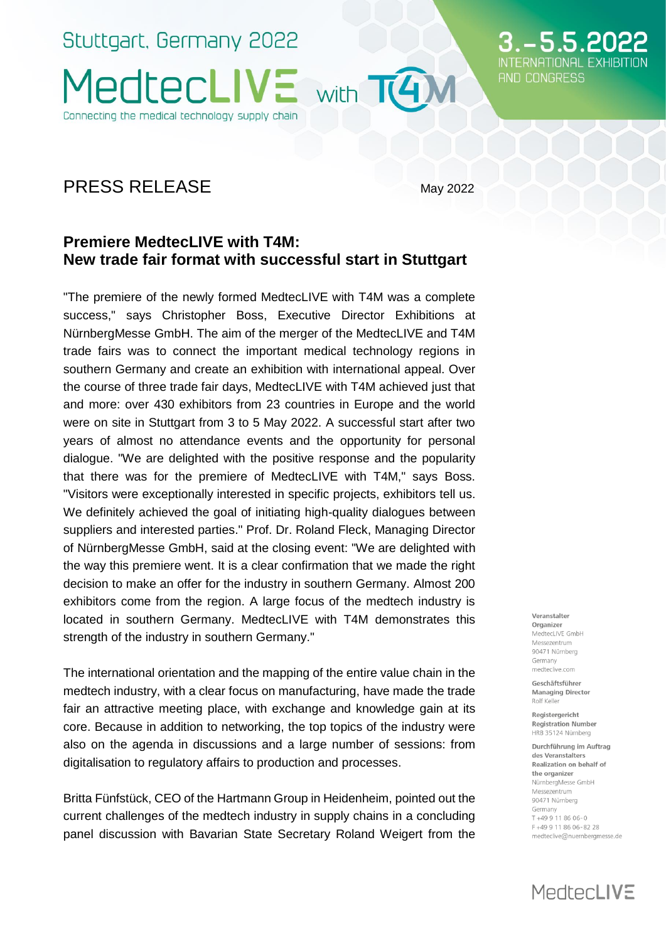Stuttgart, Germany 2022 **MedtecLIVE** Connecting the medical technology supply chain

### PRESS RELEASE May 2022

with T4M

### **Premiere MedtecLIVE with T4M: New trade fair format with successful start in Stuttgart**

"The premiere of the newly formed MedtecLIVE with T4M was a complete success," says Christopher Boss, Executive Director Exhibitions at NürnbergMesse GmbH. The aim of the merger of the MedtecLIVE and T4M trade fairs was to connect the important medical technology regions in southern Germany and create an exhibition with international appeal. Over the course of three trade fair days, MedtecLIVE with T4M achieved just that and more: over 430 exhibitors from 23 countries in Europe and the world were on site in Stuttgart from 3 to 5 May 2022. A successful start after two years of almost no attendance events and the opportunity for personal dialogue. "We are delighted with the positive response and the popularity that there was for the premiere of MedtecLIVE with T4M," says Boss. "Visitors were exceptionally interested in specific projects, exhibitors tell us. We definitely achieved the goal of initiating high-quality dialogues between suppliers and interested parties." Prof. Dr. Roland Fleck, Managing Director of NürnbergMesse GmbH, said at the closing event: "We are delighted with the way this premiere went. It is a clear confirmation that we made the right decision to make an offer for the industry in southern Germany. Almost 200 exhibitors come from the region. A large focus of the medtech industry is located in southern Germany. MedtecLIVE with T4M demonstrates this strength of the industry in southern Germany."

The international orientation and the mapping of the entire value chain in the medtech industry, with a clear focus on manufacturing, have made the trade fair an attractive meeting place, with exchange and knowledge gain at its core. Because in addition to networking, the top topics of the industry were also on the agenda in discussions and a large number of sessions: from digitalisation to regulatory affairs to production and processes.

Britta Fünfstück, CEO of the Hartmann Group in Heidenheim, pointed out the current challenges of the medtech industry in supply chains in a concluding panel discussion with Bavarian State Secretary Roland Weigert from the

Veranstalter Organizer MedtecLIVE GmbH Messezentrum 90471 Nürnberg Germany medteclive.com

5.5.20

AND CONGRESS

Geschäftsführer **Managing Director** Rolf Keller

Registergericht **Registration Number** HRR 35124 Nürnberg

Durchführung im Auftrag des Veranstalters Realization on behalf of the organizer NürnberaMesse GmbH Messezentrum 90471 Nürnberg Germany T+49 9 11 86 06-0 F+499118606-8228 medteclive@nuernbergmesse.de

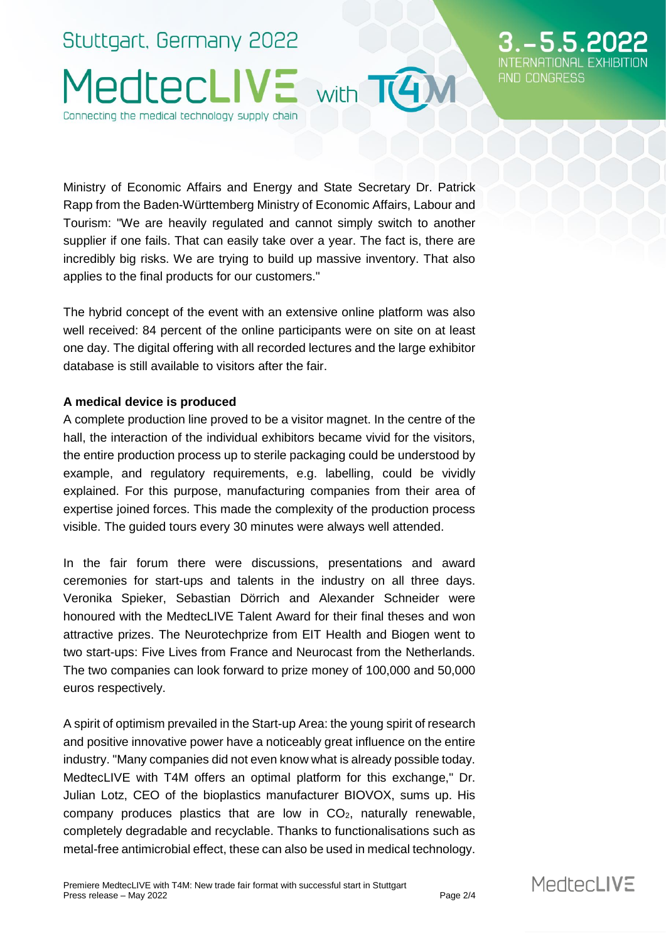## Stuttgart, Germany 2022 MedtecLIVE with TAM Connecting the medical technology supply chain

AND CONGRESS

Ministry of Economic Affairs and Energy and State Secretary Dr. Patrick Rapp from the Baden-Württemberg Ministry of Economic Affairs, Labour and Tourism: "We are heavily regulated and cannot simply switch to another supplier if one fails. That can easily take over a year. The fact is, there are incredibly big risks. We are trying to build up massive inventory. That also applies to the final products for our customers."

The hybrid concept of the event with an extensive online platform was also well received: 84 percent of the online participants were on site on at least one day. The digital offering with all recorded lectures and the large exhibitor database is still available to visitors after the fair.

### **A medical device is produced**

A complete production line proved to be a visitor magnet. In the centre of the hall, the interaction of the individual exhibitors became vivid for the visitors, the entire production process up to sterile packaging could be understood by example, and regulatory requirements, e.g. labelling, could be vividly explained. For this purpose, manufacturing companies from their area of expertise joined forces. This made the complexity of the production process visible. The guided tours every 30 minutes were always well attended.

In the fair forum there were discussions, presentations and award ceremonies for start-ups and talents in the industry on all three days. Veronika Spieker, Sebastian Dörrich and Alexander Schneider were honoured with the MedtecLIVE Talent Award for their final theses and won attractive prizes. The Neurotechprize from EIT Health and Biogen went to two start-ups: Five Lives from France and Neurocast from the Netherlands. The two companies can look forward to prize money of 100,000 and 50,000 euros respectively.

A spirit of optimism prevailed in the Start-up Area: the young spirit of research and positive innovative power have a noticeably great influence on the entire industry. "Many companies did not even know what is already possible today. MedtecLIVE with T4M offers an optimal platform for this exchange," Dr. Julian Lotz, CEO of the bioplastics manufacturer BIOVOX, sums up. His company produces plastics that are low in  $CO<sub>2</sub>$ , naturally renewable, completely degradable and recyclable. Thanks to functionalisations such as metal-free antimicrobial effect, these can also be used in medical technology.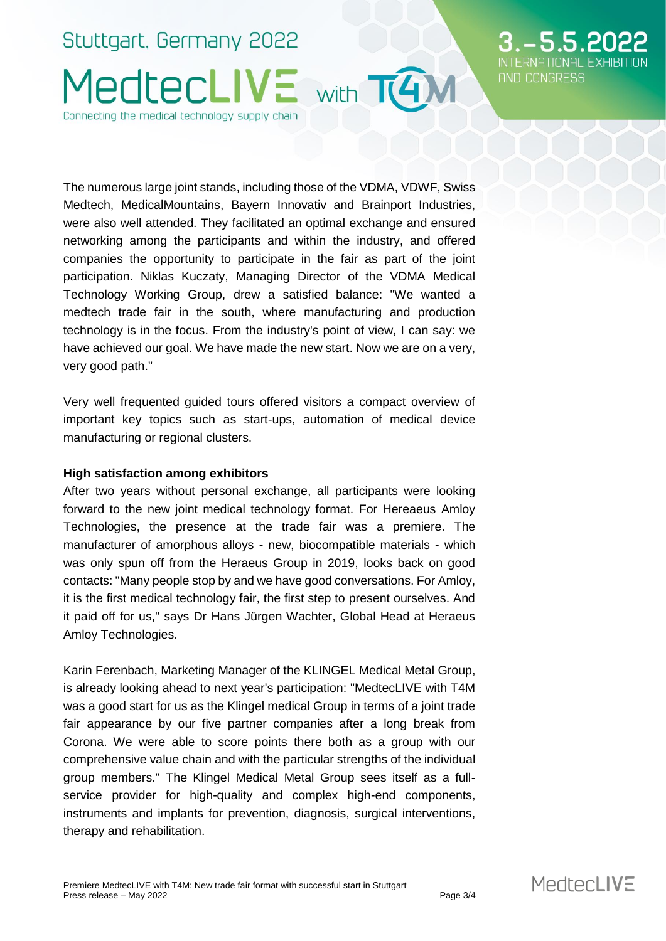# Stuttgart, Germany 2022 MedtecLIVE with T4M Connecting the medical technology supply chain

The numerous large joint stands, including those of the VDMA, VDWF, Swiss Medtech, MedicalMountains, Bayern Innovativ and Brainport Industries, were also well attended. They facilitated an optimal exchange and ensured networking among the participants and within the industry, and offered companies the opportunity to participate in the fair as part of the joint participation. Niklas Kuczaty, Managing Director of the VDMA Medical Technology Working Group, drew a satisfied balance: "We wanted a medtech trade fair in the south, where manufacturing and production technology is in the focus. From the industry's point of view, I can say: we have achieved our goal. We have made the new start. Now we are on a very, very good path."

Very well frequented guided tours offered visitors a compact overview of important key topics such as start-ups, automation of medical device manufacturing or regional clusters.

### **High satisfaction among exhibitors**

After two years without personal exchange, all participants were looking forward to the new joint medical technology format. For Hereaeus Amloy Technologies, the presence at the trade fair was a premiere. The manufacturer of amorphous alloys - new, biocompatible materials - which was only spun off from the Heraeus Group in 2019, looks back on good contacts: "Many people stop by and we have good conversations. For Amloy, it is the first medical technology fair, the first step to present ourselves. And it paid off for us," says Dr Hans Jürgen Wachter, Global Head at Heraeus Amloy Technologies.

Karin Ferenbach, Marketing Manager of the KLINGEL Medical Metal Group, is already looking ahead to next year's participation: "MedtecLIVE with T4M was a good start for us as the Klingel medical Group in terms of a joint trade fair appearance by our five partner companies after a long break from Corona. We were able to score points there both as a group with our comprehensive value chain and with the particular strengths of the individual group members." The Klingel Medical Metal Group sees itself as a fullservice provider for high-quality and complex high-end components, instruments and implants for prevention, diagnosis, surgical interventions, therapy and rehabilitation.

552

AND CONGRESS